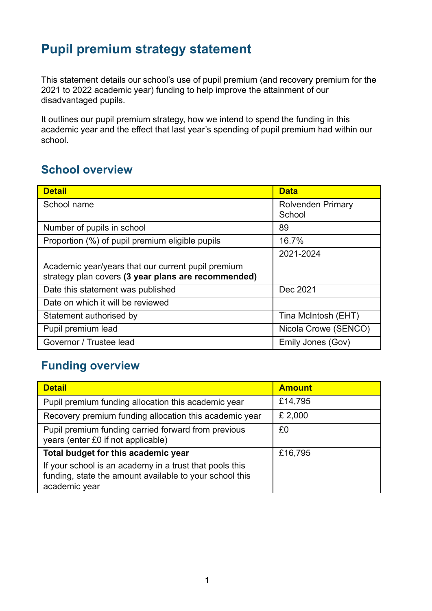# **Pupil premium strategy statement**

This statement details our school's use of pupil premium (and recovery premium for the 2021 to 2022 academic year) funding to help improve the attainment of our disadvantaged pupils.

It outlines our pupil premium strategy, how we intend to spend the funding in this academic year and the effect that last year's spending of pupil premium had within our school.

## **School overview**

| <b>Detail</b>                                       | <b>Data</b>                        |
|-----------------------------------------------------|------------------------------------|
| School name                                         | <b>Rolvenden Primary</b><br>School |
|                                                     |                                    |
| Number of pupils in school                          | 89                                 |
| Proportion (%) of pupil premium eligible pupils     | 16.7%                              |
|                                                     | 2021-2024                          |
| Academic year/years that our current pupil premium  |                                    |
| strategy plan covers (3 year plans are recommended) |                                    |
| Date this statement was published                   | Dec 2021                           |
| Date on which it will be reviewed                   |                                    |
| Statement authorised by                             | Tina McIntosh (EHT)                |
| Pupil premium lead                                  | Nicola Crowe (SENCO)               |
| Governor / Trustee lead                             | Emily Jones (Gov)                  |

# **Funding overview**

| <b>Detail</b>                                                                                                                       | <b>Amount</b> |
|-------------------------------------------------------------------------------------------------------------------------------------|---------------|
| Pupil premium funding allocation this academic year                                                                                 | £14,795       |
| Recovery premium funding allocation this academic year                                                                              | £ 2,000       |
| Pupil premium funding carried forward from previous<br>years (enter £0 if not applicable)                                           | £0            |
| Total budget for this academic year                                                                                                 | £16,795       |
| If your school is an academy in a trust that pools this<br>funding, state the amount available to your school this<br>academic year |               |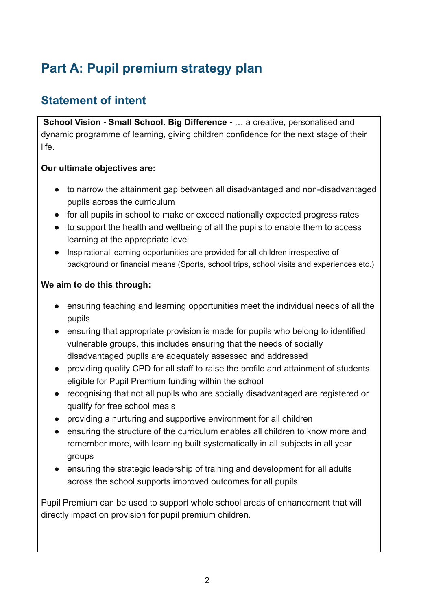# **Part A: Pupil premium strategy plan**

# **Statement of intent**

**School Vision - Small School. Big Difference -** … a creative, personalised and dynamic programme of learning, giving children confidence for the next stage of their life.

#### **Our ultimate objectives are:**

- to narrow the attainment gap between all disadvantaged and non-disadvantaged pupils across the curriculum
- for all pupils in school to make or exceed nationally expected progress rates
- to support the health and wellbeing of all the pupils to enable them to access learning at the appropriate level
- Inspirational learning opportunities are provided for all children irrespective of background or financial means (Sports, school trips, school visits and experiences etc.)

#### **We aim to do this through:**

- ensuring teaching and learning opportunities meet the individual needs of all the pupils
- ensuring that appropriate provision is made for pupils who belong to identified vulnerable groups, this includes ensuring that the needs of socially disadvantaged pupils are adequately assessed and addressed
- providing quality CPD for all staff to raise the profile and attainment of students eligible for Pupil Premium funding within the school
- recognising that not all pupils who are socially disadvantaged are registered or qualify for free school meals
- providing a nurturing and supportive environment for all children
- ensuring the structure of the curriculum enables all children to know more and remember more, with learning built systematically in all subjects in all year groups
- ensuring the strategic leadership of training and development for all adults across the school supports improved outcomes for all pupils

Pupil Premium can be used to support whole school areas of enhancement that will directly impact on provision for pupil premium children.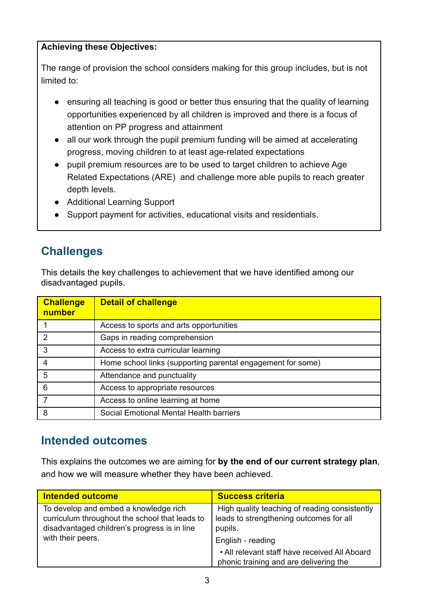#### **Achieving these Objectives:**

The range of provision the school considers making for this group includes, but is not limited to:

- ensuring all teaching is good or better thus ensuring that the quality of learning opportunities experienced by all children is improved and there is a focus of attention on PP progress and attainment
- all our work through the pupil premium funding will be aimed at accelerating progress, moving children to at least age-related expectations
- pupil premium resources are to be used to target children to achieve Age Related Expectations (ARE) and challenge more able pupils to reach greater depth levels.
- Additional Learning Support
- Support payment for activities, educational visits and residentials.

# **Challenges**

This details the key challenges to achievement that we have identified among our disadvantaged pupils.

| <b>Challenge</b><br>number | <b>Detail of challenge</b>                                  |
|----------------------------|-------------------------------------------------------------|
|                            | Access to sports and arts opportunities                     |
| 2                          | Gaps in reading comprehension                               |
| 3                          | Access to extra curricular learning                         |
| 4                          | Home school links (supporting parental engagement for some) |
| 5                          | Attendance and punctuality                                  |
| 6                          | Access to appropriate resources                             |
|                            | Access to online learning at home                           |
| 8                          | Social Emotional Mental Health barriers                     |

### **Intended outcomes**

This explains the outcomes we are aiming for **by the end of our current strategy plan**, and how we will measure whether they have been achieved.

| <b>Intended outcome</b>                                                                                                                 | <b>Success criteria</b>                                                                             |
|-----------------------------------------------------------------------------------------------------------------------------------------|-----------------------------------------------------------------------------------------------------|
| To develop and embed a knowledge rich<br>curriculum throughout the school that leads to<br>disadvantaged children's progress is in line | High quality teaching of reading consistently<br>leads to strengthening outcomes for all<br>pupils. |
| with their peers.                                                                                                                       | English - reading                                                                                   |
|                                                                                                                                         | • All relevant staff have received All Aboard<br>phonic training and are delivering the             |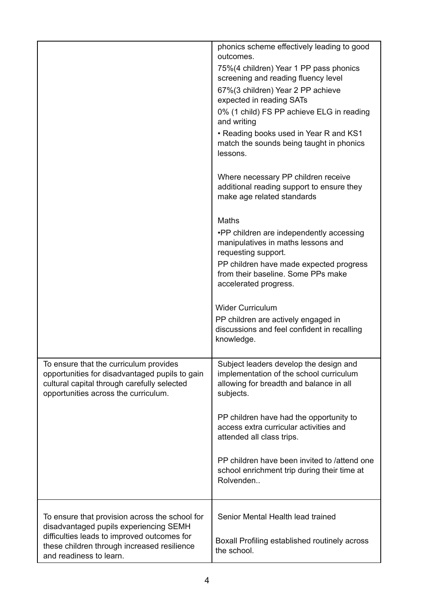|                                                                                                                                                                                                                   | phonics scheme effectively leading to good<br>outcomes.<br>75%(4 children) Year 1 PP pass phonics<br>screening and reading fluency level<br>67%(3 children) Year 2 PP achieve<br>expected in reading SATs<br>0% (1 child) FS PP achieve ELG in reading<br>and writing<br>• Reading books used in Year R and KS1<br>match the sounds being taught in phonics<br>lessons. |
|-------------------------------------------------------------------------------------------------------------------------------------------------------------------------------------------------------------------|-------------------------------------------------------------------------------------------------------------------------------------------------------------------------------------------------------------------------------------------------------------------------------------------------------------------------------------------------------------------------|
|                                                                                                                                                                                                                   | Where necessary PP children receive<br>additional reading support to ensure they<br>make age related standards                                                                                                                                                                                                                                                          |
|                                                                                                                                                                                                                   | <b>Maths</b><br>. PP children are independently accessing<br>manipulatives in maths lessons and<br>requesting support.<br>PP children have made expected progress<br>from their baseline. Some PPs make<br>accelerated progress.                                                                                                                                        |
|                                                                                                                                                                                                                   | <b>Wider Curriculum</b><br>PP children are actively engaged in<br>discussions and feel confident in recalling<br>knowledge.                                                                                                                                                                                                                                             |
| To ensure that the curriculum provides<br>opportunities for disadvantaged pupils to gain<br>cultural capital through carefully selected<br>opportunities across the curriculum.                                   | Subject leaders develop the design and<br>implementation of the school curriculum<br>allowing for breadth and balance in all<br>subjects.                                                                                                                                                                                                                               |
|                                                                                                                                                                                                                   | PP children have had the opportunity to<br>access extra curricular activities and<br>attended all class trips.                                                                                                                                                                                                                                                          |
|                                                                                                                                                                                                                   | PP children have been invited to /attend one<br>school enrichment trip during their time at<br>Rolvenden                                                                                                                                                                                                                                                                |
| To ensure that provision across the school for<br>disadvantaged pupils experiencing SEMH<br>difficulties leads to improved outcomes for<br>these children through increased resilience<br>and readiness to learn. | Senior Mental Health lead trained<br>Boxall Profiling established routinely across<br>the school.                                                                                                                                                                                                                                                                       |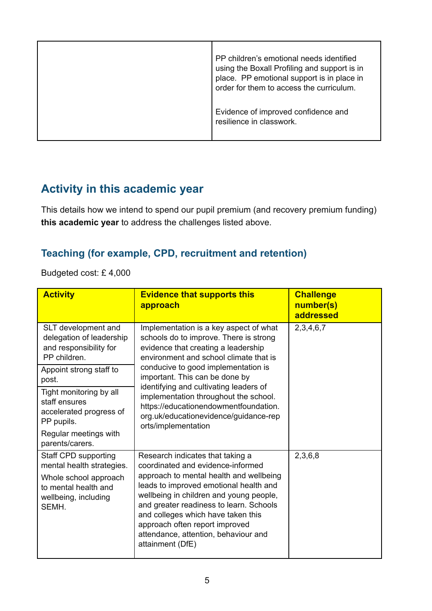| PP children's emotional needs identified<br>using the Boxall Profiling and support is in<br>place. PP emotional support is in place in<br>order for them to access the curriculum. |
|------------------------------------------------------------------------------------------------------------------------------------------------------------------------------------|
| Evidence of improved confidence and<br>resilience in classwork.                                                                                                                    |

# **Activity in this academic year**

This details how we intend to spend our pupil premium (and recovery premium funding) **this academic year** to address the challenges listed above.

### **Teaching (for example, CPD, recruitment and retention)**

Budgeted cost: £ 4,000

| <b>Activity</b>                                                                                                                     | <b>Evidence that supports this</b><br>approach                                                                                                                                                                                                                                                                                                                                                                                         | <b>Challenge</b><br>number(s)<br>addressed |
|-------------------------------------------------------------------------------------------------------------------------------------|----------------------------------------------------------------------------------------------------------------------------------------------------------------------------------------------------------------------------------------------------------------------------------------------------------------------------------------------------------------------------------------------------------------------------------------|--------------------------------------------|
| SLT development and<br>delegation of leadership<br>and responsibility for<br>PP children.                                           | Implementation is a key aspect of what<br>schools do to improve. There is strong<br>evidence that creating a leadership<br>environment and school climate that is<br>conducive to good implementation is<br>important. This can be done by<br>identifying and cultivating leaders of<br>implementation throughout the school.<br>https://educationendowmentfoundation.<br>org.uk/educationevidence/guidance-rep<br>orts/implementation | 2,3,4,6,7                                  |
| Appoint strong staff to<br>post.                                                                                                    |                                                                                                                                                                                                                                                                                                                                                                                                                                        |                                            |
| Tight monitoring by all<br>staff ensures<br>accelerated progress of<br>PP pupils.<br>Regular meetings with                          |                                                                                                                                                                                                                                                                                                                                                                                                                                        |                                            |
| parents/carers.                                                                                                                     |                                                                                                                                                                                                                                                                                                                                                                                                                                        |                                            |
| Staff CPD supporting<br>mental health strategies.<br>Whole school approach<br>to mental health and<br>wellbeing, including<br>SEMH. | Research indicates that taking a<br>coordinated and evidence-informed<br>approach to mental health and wellbeing<br>leads to improved emotional health and<br>wellbeing in children and young people,<br>and greater readiness to learn. Schools<br>and colleges which have taken this<br>approach often report improved<br>attendance, attention, behaviour and<br>attainment (DfE)                                                   | 2,3,6,8                                    |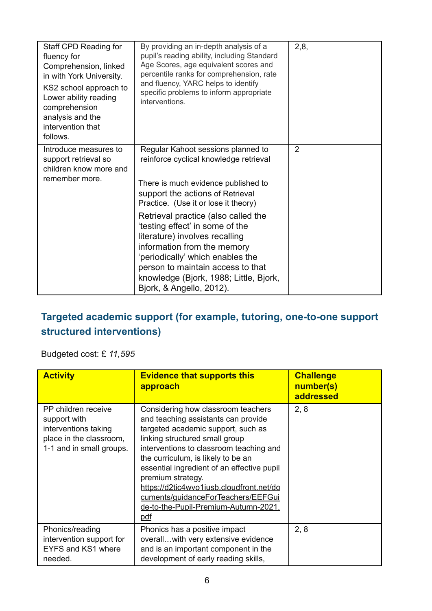| Staff CPD Reading for<br>fluency for<br>Comprehension, linked<br>in with York University.<br>KS2 school approach to<br>Lower ability reading<br>comprehension<br>analysis and the<br>intervention that<br>follows. | By providing an in-depth analysis of a<br>pupil's reading ability, including Standard<br>Age Scores, age equivalent scores and<br>percentile ranks for comprehension, rate<br>and fluency, YARC helps to identify<br>specific problems to inform appropriate<br>interventions.                                                                                                                                                                                                            | 2,8,           |
|--------------------------------------------------------------------------------------------------------------------------------------------------------------------------------------------------------------------|-------------------------------------------------------------------------------------------------------------------------------------------------------------------------------------------------------------------------------------------------------------------------------------------------------------------------------------------------------------------------------------------------------------------------------------------------------------------------------------------|----------------|
| Introduce measures to<br>support retrieval so<br>children know more and<br>remember more.                                                                                                                          | Regular Kahoot sessions planned to<br>reinforce cyclical knowledge retrieval<br>There is much evidence published to<br>support the actions of Retrieval<br>Practice. (Use it or lose it theory)<br>Retrieval practice (also called the<br>'testing effect' in some of the<br>literature) involves recalling<br>information from the memory<br>'periodically' which enables the<br>person to maintain access to that<br>knowledge (Bjork, 1988; Little, Bjork,<br>Bjork, & Angello, 2012). | $\overline{2}$ |

# **Targeted academic support (for example, tutoring, one-to-one support structured interventions)**

Budgeted cost: £ *11,595*

| <b>Activity</b>                                                                                                    | <b>Evidence that supports this</b><br>approach                                                                                                                                                                                                                                                                                                                                                                                                | <b>Challenge</b><br>number(s)<br>addressed |
|--------------------------------------------------------------------------------------------------------------------|-----------------------------------------------------------------------------------------------------------------------------------------------------------------------------------------------------------------------------------------------------------------------------------------------------------------------------------------------------------------------------------------------------------------------------------------------|--------------------------------------------|
| PP children receive<br>support with<br>interventions taking<br>place in the classroom,<br>1-1 and in small groups. | Considering how classroom teachers<br>and teaching assistants can provide<br>targeted academic support, such as<br>linking structured small group<br>interventions to classroom teaching and<br>the curriculum, is likely to be an<br>essential ingredient of an effective pupil<br>premium strategy.<br>https://d2tic4wvo1iusb.cloudfront.net/do<br>cuments/guidanceForTeachers/EEFGui<br>de-to-the-Pupil-Premium-Autumn-2021.<br><u>pdf</u> | 2, 8                                       |
| Phonics/reading<br>intervention support for<br>EYFS and KS1 where<br>needed.                                       | Phonics has a positive impact<br>overallwith very extensive evidence<br>and is an important component in the<br>development of early reading skills,                                                                                                                                                                                                                                                                                          | 2, 8                                       |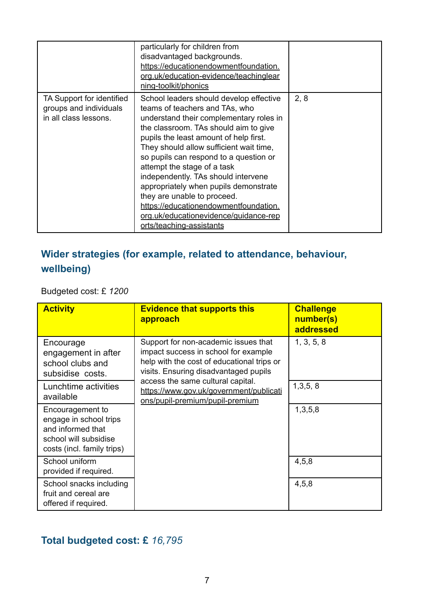|                                                                              | particularly for children from<br>disadvantaged backgrounds.<br>https://educationendowmentfoundation.<br>org.uk/education-evidence/teachinglear<br>ning-toolkit/phonics                                                                                                                                                                                                                                                                                                                                                                                  |      |
|------------------------------------------------------------------------------|----------------------------------------------------------------------------------------------------------------------------------------------------------------------------------------------------------------------------------------------------------------------------------------------------------------------------------------------------------------------------------------------------------------------------------------------------------------------------------------------------------------------------------------------------------|------|
| TA Support for identified<br>groups and individuals<br>in all class lessons. | School leaders should develop effective<br>teams of teachers and TAs, who<br>understand their complementary roles in<br>the classroom. TAs should aim to give<br>pupils the least amount of help first.<br>They should allow sufficient wait time,<br>so pupils can respond to a question or<br>attempt the stage of a task<br>independently. TAs should intervene<br>appropriately when pupils demonstrate<br>they are unable to proceed.<br>https://educationendowmentfoundation.<br>org.uk/educationevidence/guidance-rep<br>orts/teaching-assistants | 2, 8 |

# **Wider strategies (for example, related to attendance, behaviour, wellbeing)**

Budgeted cost: £ *1200*

| <b>Activity</b>                                                                                                        | <b>Evidence that supports this</b><br>approach                                                                                                                                                                                                                                         | <b>Challenge</b><br>number(s)<br>addressed |
|------------------------------------------------------------------------------------------------------------------------|----------------------------------------------------------------------------------------------------------------------------------------------------------------------------------------------------------------------------------------------------------------------------------------|--------------------------------------------|
| Encourage<br>engagement in after<br>school clubs and<br>subsidise costs.                                               | Support for non-academic issues that<br>impact success in school for example<br>help with the cost of educational trips or<br>visits. Ensuring disadvantaged pupils<br>access the same cultural capital.<br>https://www.gov.uk/government/publicati<br>ons/pupil-premium/pupil-premium | 1, 3, 5, 8                                 |
| Lunchtime activities<br>available                                                                                      |                                                                                                                                                                                                                                                                                        | 1,3,5,8                                    |
| Encouragement to<br>engage in school trips<br>and informed that<br>school will subsidise<br>costs (incl. family trips) |                                                                                                                                                                                                                                                                                        | 1,3,5,8                                    |
| School uniform<br>provided if required.                                                                                |                                                                                                                                                                                                                                                                                        | 4,5,8                                      |
| School snacks including<br>fruit and cereal are<br>offered if required.                                                |                                                                                                                                                                                                                                                                                        | 4,5,8                                      |

## **Total budgeted cost: £** *16,795*